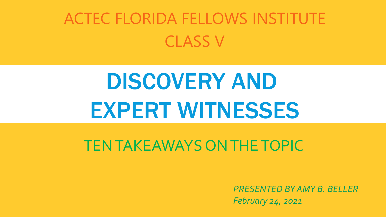#### ACTEC FLORIDA FELLOWS INSTITUTE CLASS V

### DISCOVERY AND EXPERT WITNESSES

#### TEN TAKEAWAYS ON THE TOPIC

*PRESENTED BY AMY B. BELLER February 24, 2021*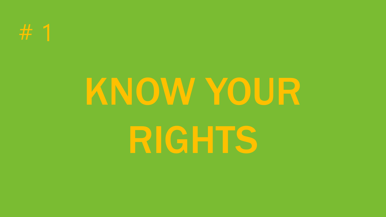

# KNOW YOUR

RIGHTS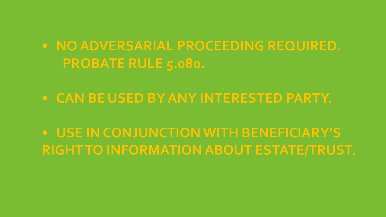- **• NO ADVERSARIAL PROCEEDING REQUIRED. PROBATE RULE 5.080.**
- **• CAN BE USED BY ANY INTERESTED PARTY.**

**• USE IN CONJUNCTION WITH BENEFICIARY'S RIGHT TO INFORMATION ABOUT ESTATE/TRUST.**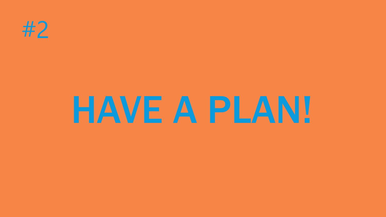

## HAVE A PLAN!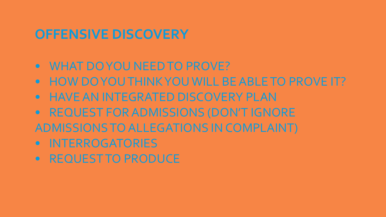#### **OFFENSIVE DISCOVERY**

- WHAT DO YOU NEED TO PROVE?
- HOW DO YOU THINK YOU WILL BE ABLE TO PROVE IT?
- HAVE AN INTEGRATED DISCOVERY PLAN
- REQUEST FOR ADMISSIONS (DON'T IGNORE ADMISSIONS TO ALLEGATIONS IN COMPLAINT)
- INTERROGATORIES
- REQUEST TO PRODUCE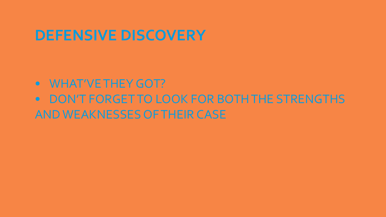#### **DEFENSIVE DISCOVERY**

#### • WHAT'VE THEY GOT? • DON'T FORGET TO LOOK FOR BOTH THE STRENGTHS AND WEAKNESSES OF THEIR CASE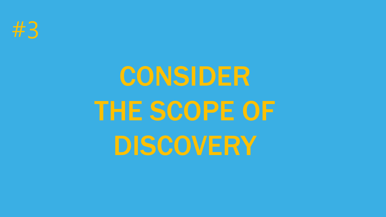

### CONSIDER THE SCOPE OF DISCOVERY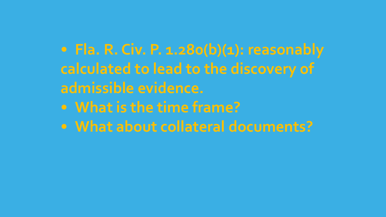#### **• Fla. R. Civ. P. 1.280(b)(1): reasonably calculated to lead to the discovery of admissible evidence.**

- **• What is the time frame?**
- **• What about collateral documents?**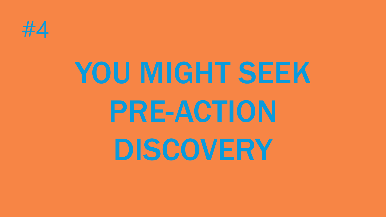

## YOU MIGHT SEEK PRE-ACTION DISCOVERY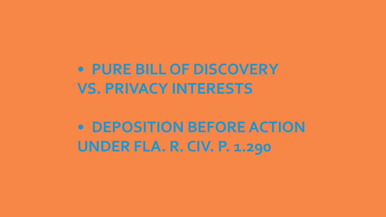**• PURE BILL OF DISCOVERY VS. PRIVACY INTERESTS**

**• DEPOSITION BEFORE ACTION UNDER FLA. R. CIV. P. 1.290**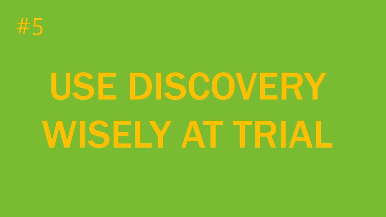

# USE DISCOVERY WISELY AT TRIAL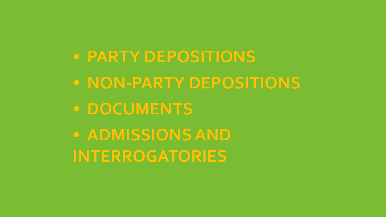**• PARTY DEPOSITIONS • NON-PARTY DEPOSITIONS • DOCUMENTS • ADMISSIONS AND INTERROGATORIES**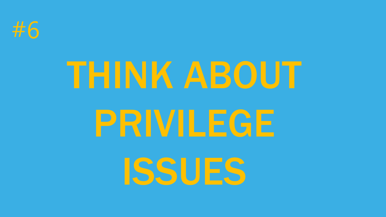

### THINK ABOUT

### PRIVILEGE

ISSUES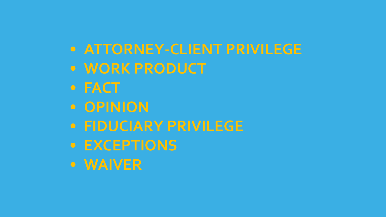#### **• ATTORNEY-CLIENT PRIVILEGE • WORK PRODUCT**

- **• FACT**
- **• OPINION**
- **• FIDUCIARY PRIVILEGE**
- **• EXCEPTIONS**
- **• WAIVER**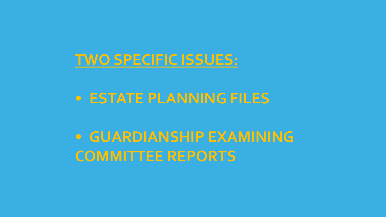#### **TWO SPECIFIC ISSUES:**

#### **• ESTATE PLANNING FILES**

**• GUARDIANSHIP EXAMINING COMMITTEE REPORTS**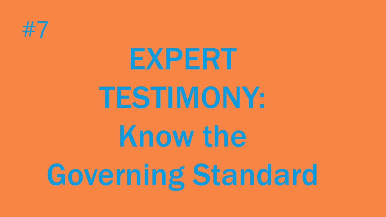

# EXPERT TESTIMONY: Know the Governing Standard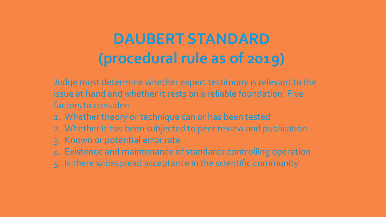#### **DAUBERT STANDARD (procedural rule as of 2019)**

Judge must determine whether expert testimony is relevant to the issue at hand and whether it rests on a reliable foundation. Five factors to consider:

- 1. Whether theory or technique can or has been tested
- 2. Whether it has been subjected to peer review and publication
- 3. Known or potential error rate
- 4. Existence and maintenance of standards controlling operation
- 5. Is there widespread acceptance in the scientific community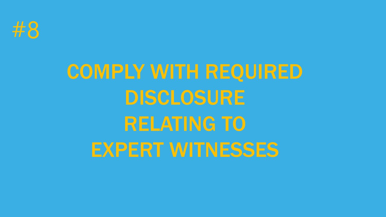

### COMPLY WITH REQUIRED DISCLOSURE RELATING TO EXPERT WITNESSES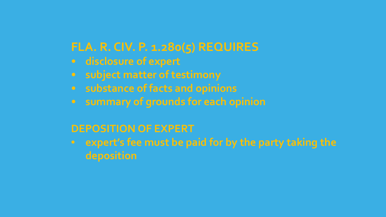#### **FLA. R. CIV. P. 1.280(5) REQUIRES**

- **disclosure of expert**
- **• subject matter of testimony**
- **• substance of facts and opinions**
- **• summary of grounds for each opinion**

#### **DEPOSITION OF EXPERT**

• **expert's fee must be paid for by the party taking the deposition**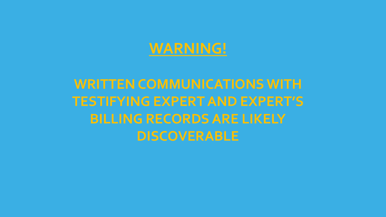#### **WARNING!**

#### **WRITTEN COMMUNICATIONS WITH TESTIFYING EXPERT AND EXPERT'S BILLING RECORDS ARE LIKELY DISCOVERABLE**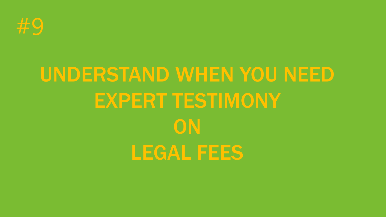

### UNDERSTAND WHEN YOU NEED EXPERT TESTIMONY **ON** LEGAL FEES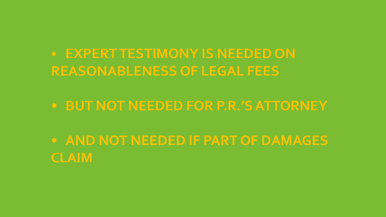**• EXPERT TESTIMONY IS NEEDED ON REASONABLENESS OF LEGAL FEES**

**• BUT NOT NEEDED FOR P.R.'S ATTORNEY**

**• AND NOT NEEDED IF PART OF DAMAGES CLAIM**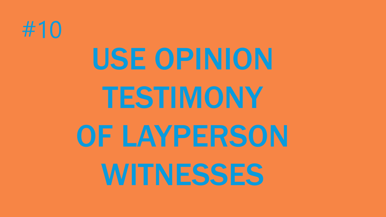

# USE OPINION TESTIMONY OF LAYPERSON WITNESSES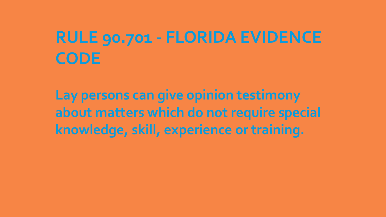#### **RULE 90.701 - FLORIDA EVIDENCE CODE**

**Lay persons can give opinion testimony about matters which do not require special knowledge, skill, experience or training.**